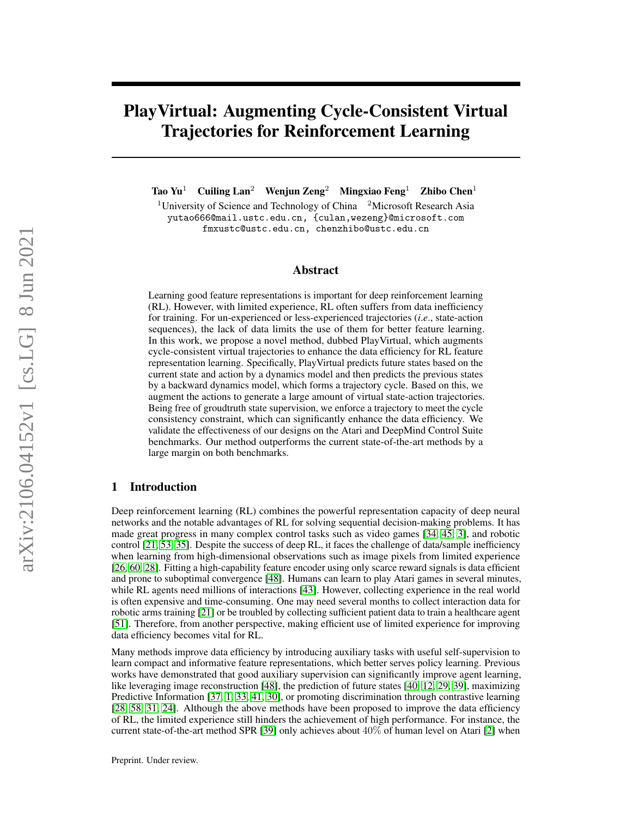# PlayVirtual: Augmenting Cycle-Consistent Virtual Trajectories for Reinforcement Learning

Tao Yu<sup>1</sup> Cuiling Lan<sup>2</sup> Wenjun Zeng<sup>2</sup> Mingxiao Feng<sup>1</sup> Zhibo Chen<sup>1</sup>

<sup>1</sup>University of Science and Technology of China  $\frac{2 \text{Microsoft Research Asia}}{2 \text{$ yutao666@mail.ustc.edu.cn, {culan,wezeng}@microsoft.com fmxustc@ustc.edu.cn, chenzhibo@ustc.edu.cn

#### Abstract

Learning good feature representations is important for deep reinforcement learning (RL). However, with limited experience, RL often suffers from data inefficiency for training. For un-experienced or less-experienced trajectories (*i*.*e*., state-action sequences), the lack of data limits the use of them for better feature learning. In this work, we propose a novel method, dubbed PlayVirtual, which augments cycle-consistent virtual trajectories to enhance the data efficiency for RL feature representation learning. Specifically, PlayVirtual predicts future states based on the current state and action by a dynamics model and then predicts the previous states by a backward dynamics model, which forms a trajectory cycle. Based on this, we augment the actions to generate a large amount of virtual state-action trajectories. Being free of groudtruth state supervision, we enforce a trajectory to meet the cycle consistency constraint, which can significantly enhance the data efficiency. We validate the effectiveness of our designs on the Atari and DeepMind Control Suite benchmarks. Our method outperforms the current state-of-the-art methods by a large margin on both benchmarks.

### 1 Introduction

Deep reinforcement learning (RL) combines the powerful representation capacity of deep neural networks and the notable advantages of RL for solving sequential decision-making problems. It has made great progress in many complex control tasks such as video games [\[34,](#page-10-0) [45,](#page-11-0) [3\]](#page-9-0), and robotic control [\[21,](#page-10-1) [53,](#page-11-1) [35\]](#page-10-2). Despite the success of deep RL, it faces the challenge of data/sample inefficiency when learning from high-dimensional observations such as image pixels from limited experience [\[26,](#page-10-3) [60,](#page-12-0) [28\]](#page-10-4). Fitting a high-capability feature encoder using only scarce reward signals is data efficient and prone to suboptimal convergence [\[48\]](#page-11-2). Humans can learn to play Atari games in several minutes, while RL agents need millions of interactions [\[43\]](#page-11-3). However, collecting experience in the real world is often expensive and time-consuming. One may need several months to collect interaction data for robotic arms training [\[21\]](#page-10-1) or be troubled by collecting sufficient patient data to train a healthcare agent [\[51\]](#page-11-4). Therefore, from another perspective, making efficient use of limited experience for improving data efficiency becomes vital for RL.

Many methods improve data efficiency by introducing auxiliary tasks with useful self-supervision to learn compact and informative feature representations, which better serves policy learning. Previous works have demonstrated that good auxiliary supervision can significantly improve agent learning, like leveraging image reconstruction [\[48\]](#page-11-2), the prediction of future states [\[40,](#page-11-5) [12,](#page-9-1) [29,](#page-10-5) [39\]](#page-11-6), maximizing Predictive Information [\[37,](#page-11-7) [1,](#page-9-2) [33,](#page-10-6) [41,](#page-11-8) [30\]](#page-10-7), or promoting discrimination through contrastive learning [\[28,](#page-10-4) [58,](#page-12-1) [31,](#page-10-8) [24\]](#page-10-9). Although the above methods have been proposed to improve the data efficiency of RL, the limited experience still hinders the achievement of high performance. For instance, the current state-of-the-art method SPR [\[39\]](#page-11-6) only achieves about 40% of human level on Atari [\[2\]](#page-9-3) when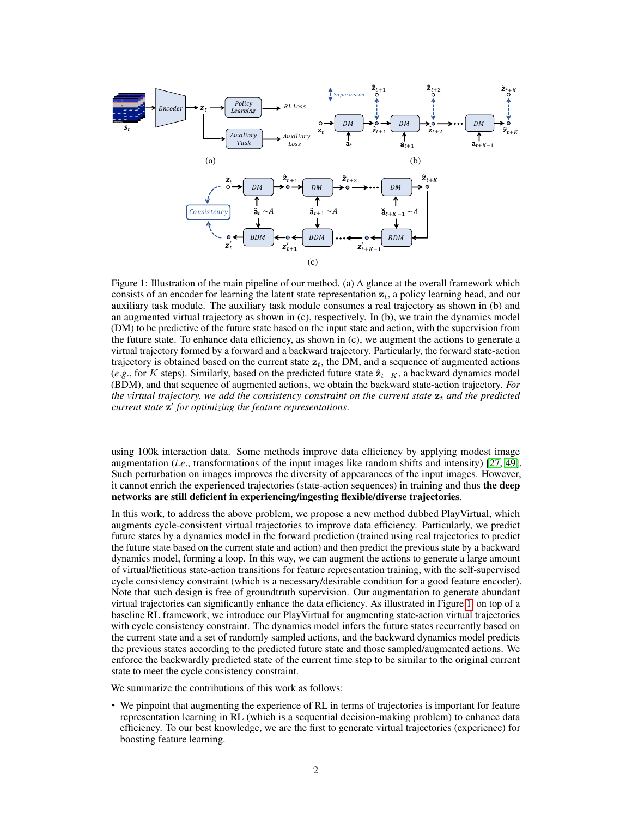<span id="page-1-1"></span><span id="page-1-0"></span>

Figure 1: Illustration of the main pipeline of our method. (a) A glance at the overall framework which consists of an encoder for learning the latent state representation  $z_t$ , a policy learning head, and our auxiliary task module. The auxiliary task module consumes a real trajectory as shown in (b) and an augmented virtual trajectory as shown in (c), respectively. In (b), we train the dynamics model (DM) to be predictive of the future state based on the input state and action, with the supervision from the future state. To enhance data efficiency, as shown in (c), we augment the actions to generate a virtual trajectory formed by a forward and a backward trajectory. Particularly, the forward state-action trajectory is obtained based on the current state  $z_t$ , the DM, and a sequence of augmented actions (e.g., for K steps). Similarly, based on the predicted future state  $\hat{\mathbf{z}}_{t+K}$ , a backward dynamics model (BDM), and that sequence of augmented actions, we obtain the backward state-action trajectory. *For the virtual trajectory, we add the consistency constraint on the current state*  $z_t$  *and the predicted current state* z 0 *for optimizing the feature representations*.

using 100k interaction data. Some methods improve data efficiency by applying modest image augmentation (*i*.*e*., transformations of the input images like random shifts and intensity) [\[27,](#page-10-10) [49\]](#page-11-9). Such perturbation on images improves the diversity of appearances of the input images. However, it cannot enrich the experienced trajectories (state-action sequences) in training and thus the deep networks are still deficient in experiencing/ingesting flexible/diverse trajectories.

In this work, to address the above problem, we propose a new method dubbed PlayVirtual, which augments cycle-consistent virtual trajectories to improve data efficiency. Particularly, we predict future states by a dynamics model in the forward prediction (trained using real trajectories to predict the future state based on the current state and action) and then predict the previous state by a backward dynamics model, forming a loop. In this way, we can augment the actions to generate a large amount of virtual/fictitious state-action transitions for feature representation training, with the self-supervised cycle consistency constraint (which is a necessary/desirable condition for a good feature encoder). Note that such design is free of groundtruth supervision. Our augmentation to generate abundant virtual trajectories can significantly enhance the data efficiency. As illustrated in Figure [1,](#page-1-0) on top of a baseline RL framework, we introduce our PlayVirtual for augmenting state-action virtual trajectories with cycle consistency constraint. The dynamics model infers the future states recurrently based on the current state and a set of randomly sampled actions, and the backward dynamics model predicts the previous states according to the predicted future state and those sampled/augmented actions. We enforce the backwardly predicted state of the current time step to be similar to the original current state to meet the cycle consistency constraint.

We summarize the contributions of this work as follows:

• We pinpoint that augmenting the experience of RL in terms of trajectories is important for feature representation learning in RL (which is a sequential decision-making problem) to enhance data efficiency. To our best knowledge, we are the first to generate virtual trajectories (experience) for boosting feature learning.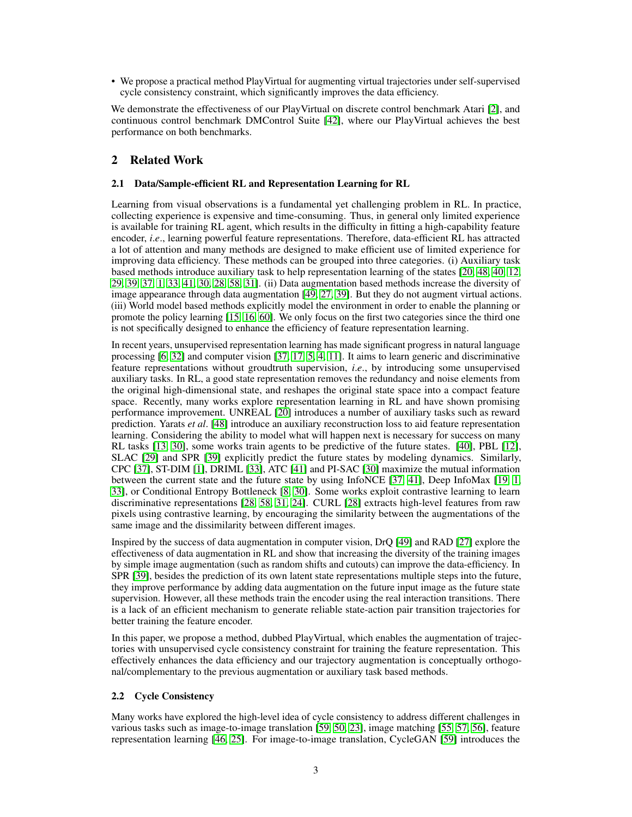• We propose a practical method PlayVirtual for augmenting virtual trajectories under self-supervised cycle consistency constraint, which significantly improves the data efficiency.

We demonstrate the effectiveness of our PlayVirtual on discrete control benchmark Atari [\[2\]](#page-9-3), and continuous control benchmark DMControl Suite [\[42\]](#page-11-10), where our PlayVirtual achieves the best performance on both benchmarks.

# 2 Related Work

## 2.1 Data/Sample-efficient RL and Representation Learning for RL

Learning from visual observations is a fundamental yet challenging problem in RL. In practice, collecting experience is expensive and time-consuming. Thus, in general only limited experience is available for training RL agent, which results in the difficulty in fitting a high-capability feature encoder, *i*.*e*., learning powerful feature representations. Therefore, data-efficient RL has attracted a lot of attention and many methods are designed to make efficient use of limited experience for improving data efficiency. These methods can be grouped into three categories. (i) Auxiliary task based methods introduce auxiliary task to help representation learning of the states [\[20,](#page-10-11) [48,](#page-11-2) [40,](#page-11-5) [12,](#page-9-1) [29,](#page-10-5) [39,](#page-11-6) [37,](#page-11-7) [1,](#page-9-2) [33,](#page-10-6) [41,](#page-11-8) [30,](#page-10-7) [28,](#page-10-4) [58,](#page-12-1) [31\]](#page-10-8). (ii) Data augmentation based methods increase the diversity of image appearance through data augmentation [\[49,](#page-11-9) [27,](#page-10-10) [39\]](#page-11-6). But they do not augment virtual actions. (iii) World model based methods explicitly model the environment in order to enable the planning or promote the policy learning [\[15,](#page-9-4) [16,](#page-9-5) [60\]](#page-12-0). We only focus on the first two categories since the third one is not specifically designed to enhance the efficiency of feature representation learning.

In recent years, unsupervised representation learning has made significant progress in natural language processing [\[6,](#page-9-6) [32\]](#page-10-12) and computer vision [\[37,](#page-11-7) [17,](#page-9-7) [5,](#page-9-8) [4,](#page-9-9) [11\]](#page-9-10). It aims to learn generic and discriminative feature representations without groudtruth supervision, *i*.*e*., by introducing some unsupervised auxiliary tasks. In RL, a good state representation removes the redundancy and noise elements from the original high-dimensional state, and reshapes the original state space into a compact feature space. Recently, many works explore representation learning in RL and have shown promising performance improvement. UNREAL [\[20\]](#page-10-11) introduces a number of auxiliary tasks such as reward prediction. Yarats *et al*. [\[48\]](#page-11-2) introduce an auxiliary reconstruction loss to aid feature representation learning. Considering the ability to model what will happen next is necessary for success on many RL tasks [\[13,](#page-9-11) [30\]](#page-10-7), some works train agents to be predictive of the future states. [\[40\]](#page-11-5), PBL [\[12\]](#page-9-1), SLAC [\[29\]](#page-10-5) and SPR [\[39\]](#page-11-6) explicitly predict the future states by modeling dynamics. Similarly, CPC [\[37\]](#page-11-7), ST-DIM [\[1\]](#page-9-2), DRIML [\[33\]](#page-10-6), ATC [\[41\]](#page-11-8) and PI-SAC [\[30\]](#page-10-7) maximize the mutual information between the current state and the future state by using InfoNCE [\[37,](#page-11-7) [41\]](#page-11-8), Deep InfoMax [\[19,](#page-10-13) [1,](#page-9-2) [33\]](#page-10-6), or Conditional Entropy Bottleneck [\[8,](#page-9-12) [30\]](#page-10-7). Some works exploit contrastive learning to learn discriminative representations [\[28,](#page-10-4) [58,](#page-12-1) [31,](#page-10-8) [24\]](#page-10-9). CURL [\[28\]](#page-10-4) extracts high-level features from raw pixels using contrastive learning, by encouraging the similarity between the augmentations of the same image and the dissimilarity between different images.

Inspired by the success of data augmentation in computer vision, DrQ [\[49\]](#page-11-9) and RAD [\[27\]](#page-10-10) explore the effectiveness of data augmentation in RL and show that increasing the diversity of the training images by simple image augmentation (such as random shifts and cutouts) can improve the data-efficiency. In SPR [\[39\]](#page-11-6), besides the prediction of its own latent state representations multiple steps into the future, they improve performance by adding data augmentation on the future input image as the future state supervision. However, all these methods train the encoder using the real interaction transitions. There is a lack of an efficient mechanism to generate reliable state-action pair transition trajectories for better training the feature encoder.

In this paper, we propose a method, dubbed PlayVirtual, which enables the augmentation of trajectories with unsupervised cycle consistency constraint for training the feature representation. This effectively enhances the data efficiency and our trajectory augmentation is conceptually orthogonal/complementary to the previous augmentation or auxiliary task based methods.

#### 2.2 Cycle Consistency

Many works have explored the high-level idea of cycle consistency to address different challenges in various tasks such as image-to-image translation [\[59,](#page-12-2) [50,](#page-11-11) [23\]](#page-10-14), image matching [\[55,](#page-12-3) [57,](#page-12-4) [56\]](#page-12-5), feature representation learning [\[46,](#page-11-12) [25\]](#page-10-15). For image-to-image translation, CycleGAN [\[59\]](#page-12-2) introduces the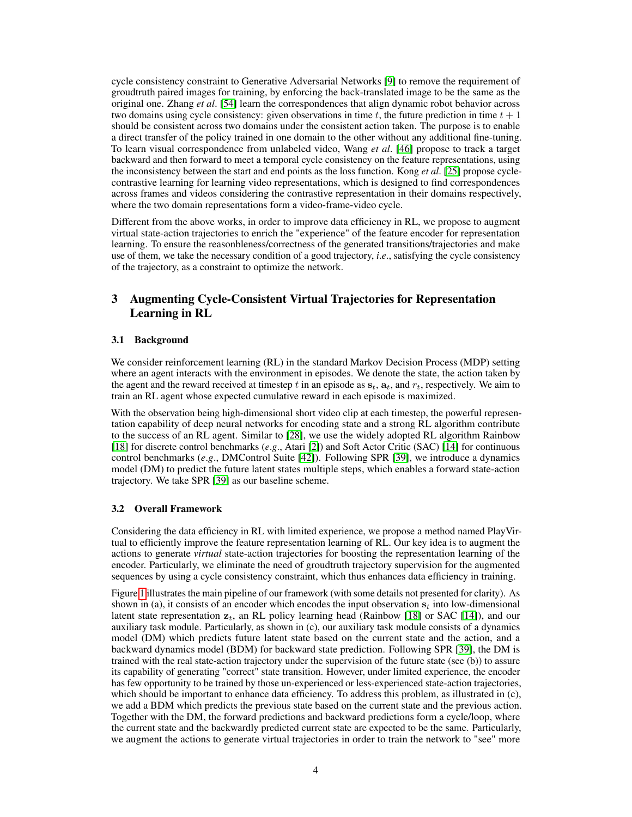cycle consistency constraint to Generative Adversarial Networks [\[9\]](#page-9-13) to remove the requirement of groudtruth paired images for training, by enforcing the back-translated image to be the same as the original one. Zhang *et al*. [\[54\]](#page-12-6) learn the correspondences that align dynamic robot behavior across two domains using cycle consistency: given observations in time t, the future prediction in time  $t + 1$ should be consistent across two domains under the consistent action taken. The purpose is to enable a direct transfer of the policy trained in one domain to the other without any additional fine-tuning. To learn visual correspondence from unlabeled video, Wang *et al*. [\[46\]](#page-11-12) propose to track a target backward and then forward to meet a temporal cycle consistency on the feature representations, using the inconsistency between the start and end points as the loss function. Kong *et al*. [\[25\]](#page-10-15) propose cyclecontrastive learning for learning video representations, which is designed to find correspondences across frames and videos considering the contrastive representation in their domains respectively, where the two domain representations form a video-frame-video cycle.

Different from the above works, in order to improve data efficiency in RL, we propose to augment virtual state-action trajectories to enrich the "experience" of the feature encoder for representation learning. To ensure the reasonbleness/correctness of the generated transitions/trajectories and make use of them, we take the necessary condition of a good trajectory, *i*.*e*., satisfying the cycle consistency of the trajectory, as a constraint to optimize the network.

# 3 Augmenting Cycle-Consistent Virtual Trajectories for Representation Learning in RL

#### 3.1 Background

We consider reinforcement learning (RL) in the standard Markov Decision Process (MDP) setting where an agent interacts with the environment in episodes. We denote the state, the action taken by the agent and the reward received at timestep t in an episode as  $s_t$ ,  $a_t$ , and  $r_t$ , respectively. We aim to train an RL agent whose expected cumulative reward in each episode is maximized.

With the observation being high-dimensional short video clip at each timestep, the powerful representation capability of deep neural networks for encoding state and a strong RL algorithm contribute to the success of an RL agent. Similar to [\[28\]](#page-10-4), we use the widely adopted RL algorithm Rainbow [\[18\]](#page-10-16) for discrete control benchmarks (*e*.*g*., Atari [\[2\]](#page-9-3)) and Soft Actor Critic (SAC) [\[14\]](#page-9-14) for continuous control benchmarks (*e*.*g*., DMControl Suite [\[42\]](#page-11-10)). Following SPR [\[39\]](#page-11-6), we introduce a dynamics model (DM) to predict the future latent states multiple steps, which enables a forward state-action trajectory. We take SPR [\[39\]](#page-11-6) as our baseline scheme.

#### 3.2 Overall Framework

Considering the data efficiency in RL with limited experience, we propose a method named PlayVirtual to efficiently improve the feature representation learning of RL. Our key idea is to augment the actions to generate *virtual* state-action trajectories for boosting the representation learning of the encoder. Particularly, we eliminate the need of groudtruth trajectory supervision for the augmented sequences by using a cycle consistency constraint, which thus enhances data efficiency in training.

Figure [1](#page-1-0) illustrates the main pipeline of our framework (with some details not presented for clarity). As shown in (a), it consists of an encoder which encodes the input observation  $s_t$  into low-dimensional latent state representation  $z_t$ , an RL policy learning head (Rainbow [\[18\]](#page-10-16) or SAC [\[14\]](#page-9-14)), and our auxiliary task module. Particularly, as shown in (c), our auxiliary task module consists of a dynamics model (DM) which predicts future latent state based on the current state and the action, and a backward dynamics model (BDM) for backward state prediction. Following SPR [\[39\]](#page-11-6), the DM is trained with the real state-action trajectory under the supervision of the future state (see (b)) to assure its capability of generating "correct" state transition. However, under limited experience, the encoder has few opportunity to be trained by those un-experienced or less-experienced state-action trajectories, which should be important to enhance data efficiency. To address this problem, as illustrated in (c), we add a BDM which predicts the previous state based on the current state and the previous action. Together with the DM, the forward predictions and backward predictions form a cycle/loop, where the current state and the backwardly predicted current state are expected to be the same. Particularly, we augment the actions to generate virtual trajectories in order to train the network to "see" more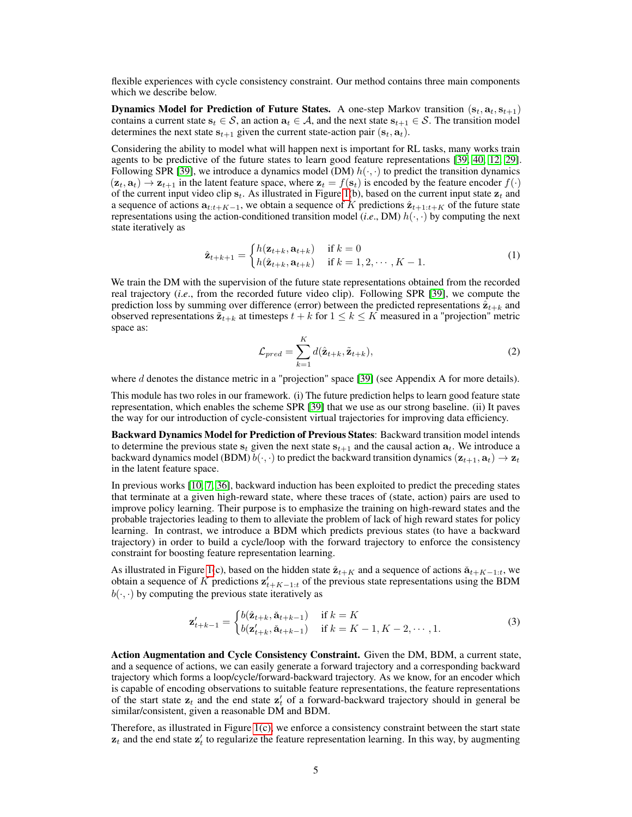flexible experiences with cycle consistency constraint. Our method contains three main components which we describe below.

**Dynamics Model for Prediction of Future States.** A one-step Markov transition  $(s_t, a_t, s_{t+1})$ contains a current state  $s_t \in S$ , an action  $a_t \in A$ , and the next state  $s_{t+1} \in S$ . The transition model determines the next state  $s_{t+1}$  given the current state-action pair  $(s_t, a_t)$ .

Considering the ability to model what will happen next is important for RL tasks, many works train agents to be predictive of the future states to learn good feature representations [\[39,](#page-11-6) [40,](#page-11-5) [12,](#page-9-1) [29\]](#page-10-5). Following SPR [\[39\]](#page-11-6), we introduce a dynamics model (DM)  $h(\cdot, \cdot)$  to predict the transition dynamics  $(z_t, a_t) \rightarrow z_{t+1}$  in the latent feature space, where  $z_t = f(s_t)$  is encoded by the feature encoder  $f(\cdot)$ of the current input video clip  $s_t$ . As illustrated in Figure [1\(](#page-1-0)b), based on the current input state  $z_t$  and a sequence of actions  $a_{t:t+K-1}$ , we obtain a sequence of K predictions  $\hat{z}_{t+1:t+K}$  of the future state representations using the action-conditioned transition model (*i.e.*, DM)  $h(\cdot, \cdot)$  by computing the next state iteratively as

$$
\hat{\mathbf{z}}_{t+k+1} = \begin{cases} h(\mathbf{z}_{t+k}, \mathbf{a}_{t+k}) & \text{if } k = 0\\ h(\hat{\mathbf{z}}_{t+k}, \mathbf{a}_{t+k}) & \text{if } k = 1, 2, \cdots, K-1. \end{cases} \tag{1}
$$

<span id="page-4-0"></span>We train the DM with the supervision of the future state representations obtained from the recorded real trajectory (*i*.*e*., from the recorded future video clip). Following SPR [\[39\]](#page-11-6), we compute the prediction loss by summing over difference (error) between the predicted representations  $\hat{\mathbf{z}}_{t+k}$  and observed representations  $\tilde{\mathbf{z}}_{t+k}$  at timesteps  $t + k$  for  $1 \leq k \leq K$  measured in a "projection" metric space as:

$$
\mathcal{L}_{pred} = \sum_{k=1}^{K} d(\hat{\mathbf{z}}_{t+k}, \tilde{\mathbf{z}}_{t+k}),
$$
\n(2)

where d denotes the distance metric in a "projection" space [\[39\]](#page-11-6) (see Appendix A for more details).

This module has two roles in our framework. (i) The future prediction helps to learn good feature state representation, which enables the scheme SPR [\[39\]](#page-11-6) that we use as our strong baseline. (ii) It paves the way for our introduction of cycle-consistent virtual trajectories for improving data efficiency.

Backward Dynamics Model for Prediction of Previous States: Backward transition model intends to determine the previous state  $s_t$  given the next state  $s_{t+1}$  and the causal action  $a_t$ . We introduce a backward dynamics model (BDM)  $b(\cdot, \cdot)$  to predict the backward transition dynamics  $(\mathbf{z}_{t+1}, \mathbf{a}_t) \to \mathbf{z}_t$ in the latent feature space.

In previous works [\[10,](#page-9-15) [7,](#page-9-16) [36\]](#page-11-13), backward induction has been exploited to predict the preceding states that terminate at a given high-reward state, where these traces of (state, action) pairs are used to improve policy learning. Their purpose is to emphasize the training on high-reward states and the probable trajectories leading to them to alleviate the problem of lack of high reward states for policy learning. In contrast, we introduce a BDM which predicts previous states (to have a backward trajectory) in order to build a cycle/loop with the forward trajectory to enforce the consistency constraint for boosting feature representation learning.

As illustrated in Figure [1\(](#page-1-0)c), based on the hidden state  $\hat{\mathbf{z}}_{t+K}$  and a sequence of actions  $\check{\mathbf{a}}_{t+K-1:t}$ , we obtain a sequence of K predictions  $z'_{t+K-1:t}$  of the previous state representations using the BDM  $b(\cdot, \cdot)$  by computing the previous state iteratively as

$$
\mathbf{z}'_{t+k-1} = \begin{cases} b(\hat{\mathbf{z}}_{t+k}, \check{\mathbf{a}}_{t+k-1}) & \text{if } k = K \\ b(\mathbf{z}'_{t+k}, \check{\mathbf{a}}_{t+k-1}) & \text{if } k = K-1, K-2, \cdots, 1. \end{cases} \tag{3}
$$

Action Augmentation and Cycle Consistency Constraint. Given the DM, BDM, a current state, and a sequence of actions, we can easily generate a forward trajectory and a corresponding backward trajectory which forms a loop/cycle/forward-backward trajectory. As we know, for an encoder which is capable of encoding observations to suitable feature representations, the feature representations of the start state  $z_t$  and the end state  $z'_t$  of a forward-backward trajectory should in general be similar/consistent, given a reasonable DM and BDM.

Therefore, as illustrated in Figure [1\(c\),](#page-1-1) we enforce a consistency constraint between the start state  $z_t$  and the end state  $z'_t$  to regularize the feature representation learning. In this way, by augmenting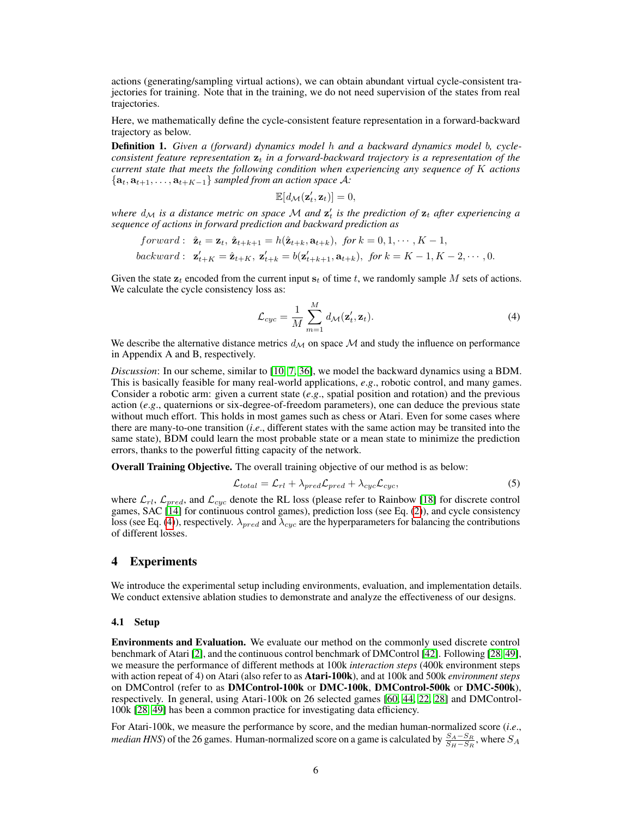actions (generating/sampling virtual actions), we can obtain abundant virtual cycle-consistent trajectories for training. Note that in the training, we do not need supervision of the states from real trajectories.

Here, we mathematically define the cycle-consistent feature representation in a forward-backward trajectory as below.

Definition 1. *Given a (forward) dynamics model* h *and a backward dynamics model* b*, cycleconsistent feature representation*  $z_t$  *in a forward-backward trajectory is a representation of the current state that meets the following condition when experiencing any sequence of* K *actions*  ${a_t, a_{t+1}, \ldots, a_{t+K-1}}$  *sampled from an action space* A:

$$
\mathbb{E}[d_{\mathcal{M}}(\mathbf{z}_t', \mathbf{z}_t)] = 0,
$$

where  $d_{\mathcal{M}}$  is a distance metric on space  $\mathcal M$  and  $\mathbf{z}'_t$  is the prediction of  $\mathbf{z}_t$  after experiencing a *sequence of actions in forward prediction and backward prediction as*

$$
forward: \ \hat{\mathbf{z}}_t = \mathbf{z}_t, \ \hat{\mathbf{z}}_{t+k+1} = h(\hat{\mathbf{z}}_{t+k}, \mathbf{a}_{t+k}), \ \text{for } k = 0, 1, \cdots, K-1,
$$
\n
$$
backward: \ \mathbf{z}'_{t+K} = \hat{\mathbf{z}}_{t+K}, \ \mathbf{z}'_{t+k} = b(\mathbf{z}'_{t+k+1}, \mathbf{a}_{t+k}), \ \text{for } k = K-1, K-2, \cdots, 0.
$$

Given the state  $z_t$  encoded from the current input  $s_t$  of time t, we randomly sample M sets of actions. We calculate the cycle consistency loss as:

<span id="page-5-0"></span>
$$
\mathcal{L}_{cyc} = \frac{1}{M} \sum_{m=1}^{M} d_{\mathcal{M}}(\mathbf{z}'_t, \mathbf{z}_t).
$$
\n(4)

We describe the alternative distance metrics  $d_{\mathcal{M}}$  on space M and study the influence on performance in Appendix A and B, respectively.

*Discussion*: In our scheme, similar to [\[10,](#page-9-15) [7,](#page-9-16) [36\]](#page-11-13), we model the backward dynamics using a BDM. This is basically feasible for many real-world applications, *e*.*g*., robotic control, and many games. Consider a robotic arm: given a current state (*e*.*g*., spatial position and rotation) and the previous action (*e*.*g*., quaternions or six-degree-of-freedom parameters), one can deduce the previous state without much effort. This holds in most games such as chess or Atari. Even for some cases where there are many-to-one transition (*i*.*e*., different states with the same action may be transited into the same state), BDM could learn the most probable state or a mean state to minimize the prediction errors, thanks to the powerful fitting capacity of the network.

Overall Training Objective. The overall training objective of our method is as below:

$$
\mathcal{L}_{total} = \mathcal{L}_{rl} + \lambda_{pred} \mathcal{L}_{pred} + \lambda_{cyc} \mathcal{L}_{cyc},
$$
\n(5)

where  $\mathcal{L}_{rl}$ ,  $\mathcal{L}_{pred}$ , and  $\mathcal{L}_{cyc}$  denote the RL loss (please refer to Rainbow [\[18\]](#page-10-16) for discrete control games, SAC [\[14\]](#page-9-14) for continuous control games), prediction loss (see Eq. [\(2\)](#page-4-0)), and cycle consistency loss (see Eq. [\(4\)](#page-5-0)), respectively.  $\lambda_{pred}$  and  $\lambda_{cyc}$  are the hyperparameters for balancing the contributions of different losses.

# 4 Experiments

We introduce the experimental setup including environments, evaluation, and implementation details. We conduct extensive ablation studies to demonstrate and analyze the effectiveness of our designs.

#### <span id="page-5-1"></span>4.1 Setup

Environments and Evaluation. We evaluate our method on the commonly used discrete control benchmark of Atari [\[2\]](#page-9-3), and the continuous control benchmark of DMControl [\[42\]](#page-11-10). Following [\[28,](#page-10-4) [49\]](#page-11-9), we measure the performance of different methods at 100k *interaction steps* (400k environment steps with action repeat of 4) on Atari (also refer to as Atari-100k), and at 100k and 500k *environment steps* on DMControl (refer to as DMControl-100k or DMC-100k, DMControl-500k or DMC-500k), respectively. In general, using Atari-100k on 26 selected games [\[60,](#page-12-0) [44,](#page-11-14) [22,](#page-10-17) [28\]](#page-10-4) and DMControl-100k [\[28,](#page-10-4) [49\]](#page-11-9) has been a common practice for investigating data efficiency.

For Atari-100k, we measure the performance by score, and the median human-normalized score (*i*.*e*., *median HNS*) of the 26 games. Human-normalized score on a game is calculated by  $\frac{S_A-S_R}{S_H-S_R}$ , where  $S_A$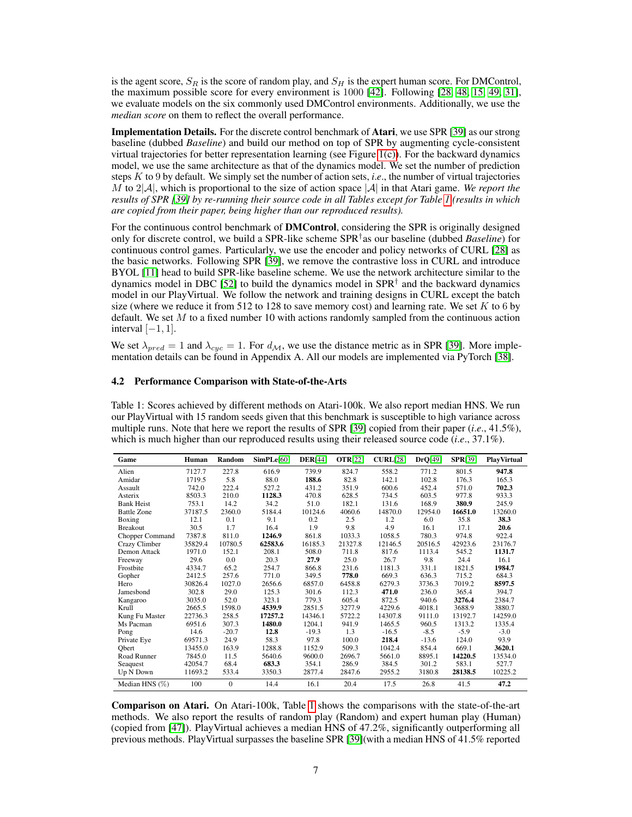is the agent score,  $S_R$  is the score of random play, and  $S_H$  is the expert human score. For DMControl, the maximum possible score for every environment is 1000 [\[42\]](#page-11-10). Following [\[28,](#page-10-4) [48,](#page-11-2) [15,](#page-9-4) [49,](#page-11-9) [31\]](#page-10-8), we evaluate models on the six commonly used DMControl environments. Additionally, we use the *median score* on them to reflect the overall performance.

Implementation Details. For the discrete control benchmark of Atari, we use SPR [\[39\]](#page-11-6) as our strong baseline (dubbed *Baseline*) and build our method on top of SPR by augmenting cycle-consistent virtual trajectories for better representation learning (see Figure [1\(c\)\)](#page-1-1). For the backward dynamics model, we use the same architecture as that of the dynamics model. We set the number of prediction steps K to 9 by default. We simply set the number of action sets, *i*.*e*., the number of virtual trajectories M to  $2|\mathcal{A}|$ , which is proportional to the size of action space  $|\mathcal{A}|$  in that Atari game. We report the *results of SPR [\[39\]](#page-11-6) by re-running their source code in all Tables except for Table [1](#page-6-0) (results in which are copied from their paper, being higher than our reproduced results).*

For the continuous control benchmark of **DMControl**, considering the SPR is originally designed only for discrete control, we build a SPR-like scheme SPR† as our baseline (dubbed *Baseline*) for continuous control games. Particularly, we use the encoder and policy networks of CURL [\[28\]](#page-10-4) as the basic networks. Following SPR [\[39\]](#page-11-6), we remove the contrastive loss in CURL and introduce BYOL [\[11\]](#page-9-10) head to build SPR-like baseline scheme. We use the network architecture similar to the dynamics model in DBC [\[52\]](#page-11-15) to build the dynamics model in SPR<sup>†</sup> and the backward dynamics model in our PlayVirtual. We follow the network and training designs in CURL except the batch size (where we reduce it from 512 to 128 to save memory cost) and learning rate. We set  $K$  to 6 by default. We set  $M$  to a fixed number 10 with actions randomly sampled from the continuous action interval  $[-1, 1]$ .

We set  $\lambda_{pred} = 1$  and  $\lambda_{cyc} = 1$ . For  $d_{\mathcal{M}}$ , we use the distance metric as in SPR [\[39\]](#page-11-6). More implementation details can be found in Appendix A. All our models are implemented via PyTorch [\[38\]](#page-11-16).

#### 4.2 Performance Comparison with State-of-the-Arts

<span id="page-6-0"></span>Table 1: Scores achieved by different methods on Atari-100k. We also report median HNS. We run our PlayVirtual with 15 random seeds given that this benchmark is susceptible to high variance across multiple runs. Note that here we report the results of SPR [\[39\]](#page-11-6) copied from their paper (*i*.*e*., 41.5%), which is much higher than our reproduced results using their released source code (*i*.*e*., 37.1%).

| Game               | Human   | <b>Random</b> | SimPLe[60] | <b>DER[44]</b> | <b>OTR[22]</b> | CURL[28] | DrQ[49] | <b>SPR[39]</b> | <b>PlayVirtual</b> |
|--------------------|---------|---------------|------------|----------------|----------------|----------|---------|----------------|--------------------|
| Alien              | 7127.7  | 227.8         | 616.9      | 739.9          | 824.7          | 558.2    | 771.2   | 801.5          | 947.8              |
| Amidar             | 1719.5  | 5.8           | 88.0       | 188.6          | 82.8           | 142.1    | 102.8   | 176.3          | 165.3              |
| Assault            | 742.0   | 222.4         | 527.2      | 431.2          | 351.9          | 600.6    | 452.4   | 571.0          | 702.3              |
| Asterix            | 8503.3  | 210.0         | 1128.3     | 470.8          | 628.5          | 734.5    | 603.5   | 977.8          | 933.3              |
| <b>Bank Heist</b>  | 753.1   | 14.2          | 34.2       | 51.0           | 182.1          | 131.6    | 168.9   | 380.9          | 245.9              |
| <b>Battle Zone</b> | 37187.5 | 2360.0        | 5184.4     | 10124.6        | 4060.6         | 14870.0  | 12954.0 | 16651.0        | 13260.0            |
| Boxing             | 12.1    | 0.1           | 9.1        | 0.2            | 2.5            | 1.2      | 6.0     | 35.8           | 38.3               |
| <b>Breakout</b>    | 30.5    | 1.7           | 16.4       | 1.9            | 9.8            | 4.9      | 16.1    | 17.1           | 20.6               |
| Chopper Command    | 7387.8  | 811.0         | 1246.9     | 861.8          | 1033.3         | 1058.5   | 780.3   | 974.8          | 922.4              |
| Crazy Climber      | 35829.4 | 10780.5       | 62583.6    | 16185.3        | 21327.8        | 12146.5  | 20516.5 | 42923.6        | 23176.7            |
| Demon Attack       | 1971.0  | 152.1         | 208.1      | 508.0          | 711.8          | 817.6    | 1113.4  | 545.2          | 1131.7             |
| Freeway            | 29.6    | 0.0           | 20.3       | 27.9           | 25.0           | 26.7     | 9.8     | 24.4           | 16.1               |
| Frostbite          | 4334.7  | 65.2          | 254.7      | 866.8          | 231.6          | 1181.3   | 331.1   | 1821.5         | 1984.7             |
| Gopher             | 2412.5  | 257.6         | 771.0      | 349.5          | 778.0          | 669.3    | 636.3   | 715.2          | 684.3              |
| Hero               | 30826.4 | 1027.0        | 2656.6     | 6857.0         | 6458.8         | 6279.3   | 3736.3  | 7019.2         | 8597.5             |
| Jamesbond          | 302.8   | 29.0          | 125.3      | 301.6          | 112.3          | 471.0    | 236.0   | 365.4          | 394.7              |
| Kangaroo           | 3035.0  | 52.0          | 323.1      | 779.3          | 605.4          | 872.5    | 940.6   | 3276.4         | 2384.7             |
| Krull              | 2665.5  | 1598.0        | 4539.9     | 2851.5         | 3277.9         | 4229.6   | 4018.1  | 3688.9         | 3880.7             |
| Kung Fu Master     | 22736.3 | 258.5         | 17257.2    | 14346.1        | 5722.2         | 14307.8  | 9111.0  | 13192.7        | 14259.0            |
| Ms Pacman          | 6951.6  | 307.3         | 1480.0     | 1204.1         | 941.9          | 1465.5   | 960.5   | 1313.2         | 1335.4             |
| Pong               | 14.6    | $-20.7$       | 12.8       | $-19.3$        | 1.3            | $-16.5$  | $-8.5$  | $-5.9$         | $-3.0$             |
| Private Eye        | 69571.3 | 24.9          | 58.3       | 97.8           | 100.0          | 218.4    | $-13.6$ | 124.0          | 93.9               |
| Obert              | 13455.0 | 163.9         | 1288.8     | 1152.9         | 509.3          | 1042.4   | 854.4   | 669.1          | 3620.1             |
| Road Runner        | 7845.0  | 11.5          | 5640.6     | 9600.0         | 2696.7         | 5661.0   | 8895.1  | 14220.5        | 13534.0            |
| Seaguest           | 42054.7 | 68.4          | 683.3      | 354.1          | 286.9          | 384.5    | 301.2   | 583.1          | 527.7              |
| Up N Down          | 11693.2 | 533.4         | 3350.3     | 2877.4         | 2847.6         | 2955.2   | 3180.8  | 28138.5        | 10225.2            |
| Median HNS $(\%)$  | 100     | $\mathbf{0}$  | 14.4       | 16.1           | 20.4           | 17.5     | 26.8    | 41.5           | 47.2               |

Comparison on Atari. On Atari-100k, Table [1](#page-6-0) shows the comparisons with the state-of-the-art methods. We also report the results of random play (Random) and expert human play (Human) (copied from [\[47\]](#page-11-17)). PlayVirtual achieves a median HNS of 47.2%, significantly outperforming all previous methods. PlayVirtual surpasses the baseline SPR [\[39\]](#page-11-6)(with a median HNS of 41.5% reported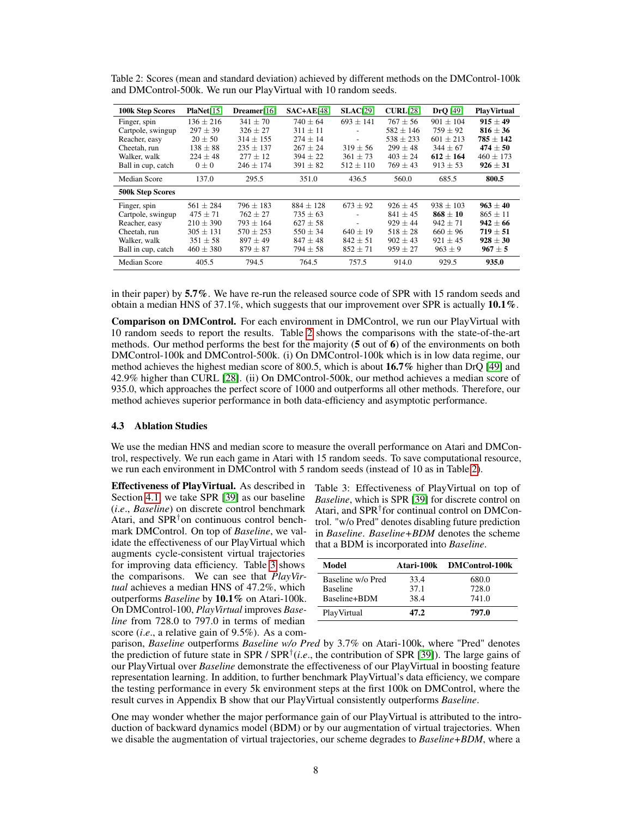| <b>100k Step Scores</b> | PlaNet[15]    | Dreamer[16]   | $SAC+AE[48]$  | <b>SLAC[29]</b>          | CURL[28]      | $DrQ$ [49]    | <b>PlayVirtual</b> |
|-------------------------|---------------|---------------|---------------|--------------------------|---------------|---------------|--------------------|
| Finger, spin            | $136 \pm 216$ | $341 \pm 70$  | $740 \pm 64$  | $693 \pm 141$            | $767 \pm 56$  | $901 \pm 104$ | $915 + 49$         |
| Cartpole, swingup       | $297 \pm 39$  | $326 + 27$    | $311 + 11$    |                          | $582 + 146$   | $759 \pm 92$  | $816 + 36$         |
| Reacher, easy           | $20 \pm 50$   | $314 + 155$   | $274 \pm 14$  | $\overline{\phantom{a}}$ | $538 \pm 233$ | $601 + 213$   | $785 \pm 142$      |
| Cheetah, run            | $138 \pm 88$  | $235 + 137$   | $267 \pm 24$  | $319 \pm 56$             | $299 + 48$    | $344 + 67$    | $474 + 50$         |
| Walker, walk            | $224 \pm 48$  | $277 \pm 12$  | $394 \pm 22$  | $361 \pm 73$             | $403 \pm 24$  | $612 \pm 164$ | $460 \pm 173$      |
| Ball in cup, catch      | $0\pm 0$      | $246 \pm 174$ | $391 \pm 82$  | $512 \pm 110$            | $769 \pm 43$  | $913 \pm 53$  | $926 \pm 31$       |
| Median Score            | 137.0         | 295.5         | 351.0         | 436.5                    | 560.0         | 685.5         | 800.5              |
| <b>500k Step Scores</b> |               |               |               |                          |               |               |                    |
| Finger, spin            | $561 \pm 284$ | $796 \pm 183$ | $884 \pm 128$ | $673 \pm 92$             | $926 \pm 45$  | $938 \pm 103$ | $963 \pm 40$       |
| Cartpole, swingup       | $475 \pm 71$  | $762 \pm 27$  | $735 \pm 63$  |                          | $841 \pm 45$  | $868 \pm 10$  | $865 \pm 11$       |
| Reacher, easy           | $210 \pm 390$ | $793 \pm 164$ | $627 \pm 58$  | $\overline{a}$           | $929 \pm 44$  | $942 \pm 71$  | $942 \pm 66$       |
| Cheetah, run            | $305 \pm 131$ | $570 \pm 253$ | $550 \pm 34$  | $640 \pm 19$             | $518 \pm 28$  | $660 \pm 96$  | $719 \pm 51$       |
| Walker, walk            | $351 \pm 58$  | $897 \pm 49$  | $847 \pm 48$  | $842 \pm 51$             | $902 \pm 43$  | $921 \pm 45$  | $928 \pm 30$       |
| Ball in cup, catch      | $460 \pm 380$ | $879 \pm 87$  | $794 \pm 58$  | $852 \pm 71$             | $959 \pm 27$  | $963 \pm 9$   | $967 \pm 5$        |
| Median Score            | 405.5         | 794.5         | 764.5         | 757.5                    | 914.0         | 929.5         | 935.0              |

<span id="page-7-0"></span>Table 2: Scores (mean and standard deviation) achieved by different methods on the DMControl-100k and DMControl-500k. We run our PlayVirtual with 10 random seeds.

in their paper) by 5.7%. We have re-run the released source code of SPR with 15 random seeds and obtain a median HNS of 37.1%, which suggests that our improvement over SPR is actually 10.1%.

Comparison on DMControl. For each environment in DMControl, we run our PlayVirtual with 10 random seeds to report the results. Table [2](#page-7-0) shows the comparisons with the state-of-the-art methods. Our method performs the best for the majority (5 out of 6) of the environments on both DMControl-100k and DMControl-500k. (i) On DMControl-100k which is in low data regime, our method achieves the highest median score of 800.5, which is about 16.7% higher than DrQ [\[49\]](#page-11-9) and 42.9% higher than CURL [\[28\]](#page-10-4). (ii) On DMControl-500k, our method achieves a median score of 935.0, which approaches the perfect score of 1000 and outperforms all other methods. Therefore, our method achieves superior performance in both data-efficiency and asymptotic performance.

#### 4.3 Ablation Studies

We use the median HNS and median score to measure the overall performance on Atari and DMControl, respectively. We run each game in Atari with 15 random seeds. To save computational resource, we run each environment in DMControl with 5 random seeds (instead of 10 as in Table [2\)](#page-7-0).

Effectiveness of PlayVirtual. As described in Section [4.1,](#page-5-1) we take SPR [\[39\]](#page-11-6) as our baseline (*i*.*e*., *Baseline*) on discrete control benchmark Atari, and  $SPR<sup>†</sup>$  on continuous control benchmark DMControl. On top of *Baseline*, we validate the effectiveness of our PlayVirtual which augments cycle-consistent virtual trajectories for improving data efficiency. Table [3](#page-7-1) shows the comparisons. We can see that *PlayVirtual* achieves a median HNS of 47.2%, which outperforms *Baseline* by 10.1% on Atari-100k. On DMControl-100, *PlayVirtual* improves *Baseline* from 728.0 to 797.0 in terms of median score (*i*.*e*., a relative gain of 9.5%). As a com-

<span id="page-7-1"></span>Table 3: Effectiveness of PlayVirtual on top of *Baseline*, which is SPR [\[39\]](#page-11-6) for discrete control on Atari, and SPR† for continual control on DMControl. "w/o Pred" denotes disabling future prediction in *Baseline*. *Baseline+BDM* denotes the scheme that a BDM is incorporated into *Baseline*.

| Model             |      | Atari-100k DMControl-100k |
|-------------------|------|---------------------------|
| Baseline w/o Pred | 33.4 | 680.0                     |
| <b>Baseline</b>   | 37.1 | 728.0                     |
| Baseline+BDM      | 38.4 | 741.0                     |
| PlayVirtual       | 47.2 | 797.0                     |

parison, *Baseline* outperforms *Baseline w/o Pred* by 3.7% on Atari-100k, where "Pred" denotes the prediction of future state in SPR / SPR† (*i*.*e*., the contribution of SPR [\[39\]](#page-11-6)). The large gains of our PlayVirtual over *Baseline* demonstrate the effectiveness of our PlayVirtual in boosting feature representation learning. In addition, to further benchmark PlayVirtual's data efficiency, we compare the testing performance in every 5k environment steps at the first 100k on DMControl, where the result curves in Appendix B show that our PlayVirtual consistently outperforms *Baseline*.

One may wonder whether the major performance gain of our PlayVirtual is attributed to the introduction of backward dynamics model (BDM) or by our augmentation of virtual trajectories. When we disable the augmentation of virtual trajectories, our scheme degrades to *Baseline+BDM*, where a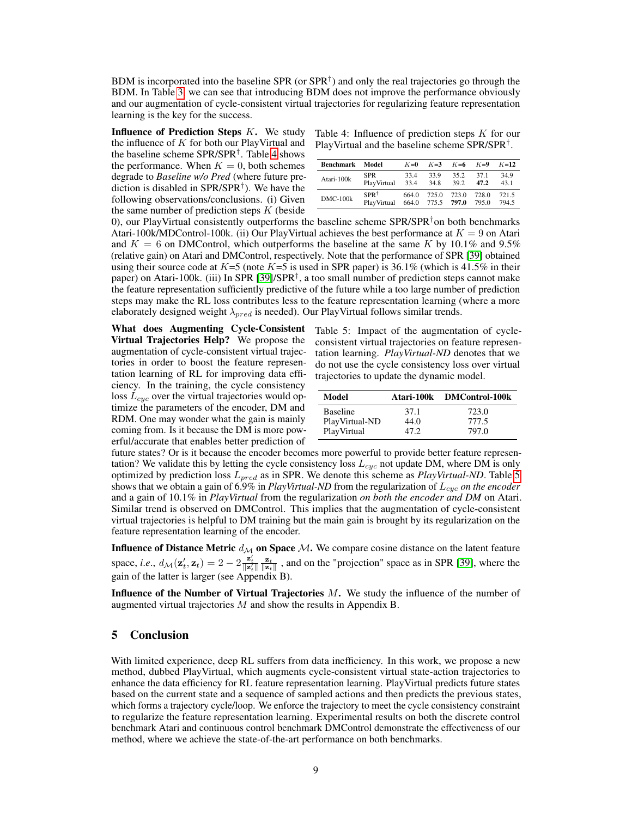BDM is incorporated into the baseline SPR (or SPR<sup>†</sup>) and only the real trajectories go through the BDM. In Table [3,](#page-7-1) we can see that introducing BDM does not improve the performance obviously and our augmentation of cycle-consistent virtual trajectories for regularizing feature representation learning is the key for the success.

**Influence of Prediction Steps**  $K$ **.** We study the influence of  $K$  for both our PlayVirtual and the baseline scheme SPR/SPR† . Table [4](#page-8-0) shows the performance. When  $K = 0$ , both schemes degrade to *Baseline w/o Pred* (where future prediction is disabled in SPR/SPR† ). We have the following observations/conclusions. (i) Given the same number of prediction steps  $K$  (beside

<span id="page-8-0"></span>Table 4: Influence of prediction steps  $K$  for our PlayVirtual and the baseline scheme SPR/SPR† .

| <b>Benchmark</b> | Model       | $K=0$ | $K=3$ | $K=6$ | $K=9$ | $K=12$ |
|------------------|-------------|-------|-------|-------|-------|--------|
| Atari-100k       | SPR         | 33.4  | 33.9  | 35.2  | 371   | 34.9   |
|                  | PlayVirtual | 33.4  | 34.8  | 39.2  | 47.2  | 43.1   |
| $DMC-100k$       | $SPR^+$     | 6640  | 725.0 | 723.0 | 728.0 | 721.5  |
|                  | PlayVirtual | 664.0 | 775.5 | 797.0 | 795.0 | 794.5  |

0), our PlayVirtual consistently outperforms the baseline scheme  $SPR/SPR<sup>†</sup>$  on both benchmarks Atari-100k/MDControl-100k. (ii) Our PlayVirtual achieves the best performance at  $K = 9$  on Atari and  $K = 6$  on DMControl, which outperforms the baseline at the same K by 10.1% and 9.5% (relative gain) on Atari and DMControl, respectively. Note that the performance of SPR [\[39\]](#page-11-6) obtained using their source code at  $K=5$  (note  $K=5$  is used in SPR paper) is 36.1% (which is 41.5% in their paper) on Atari-100k. (iii) In SPR [\[39\]](#page-11-6)/SPR† , a too small number of prediction steps cannot make the feature representation sufficiently predictive of the future while a too large number of prediction steps may make the RL loss contributes less to the feature representation learning (where a more elaborately designed weight  $\lambda_{pred}$  is needed). Our PlayVirtual follows similar trends.

What does Augmenting Cycle-Consistent Virtual Trajectories Help? We propose the augmentation of cycle-consistent virtual trajectories in order to boost the feature representation learning of RL for improving data efficiency. In the training, the cycle consistency loss  $L_{cyc}$  over the virtual trajectories would optimize the parameters of the encoder, DM and RDM. One may wonder what the gain is mainly coming from. Is it because the DM is more powerful/accurate that enables better prediction of

<span id="page-8-1"></span>Table 5: Impact of the augmentation of cycleconsistent virtual trajectories on feature representation learning. *PlayVirtual-ND* denotes that we do not use the cycle consistency loss over virtual trajectories to update the dynamic model.

| Model           |       | Atari-100k DMControl-100k |
|-----------------|-------|---------------------------|
| <b>Baseline</b> | 37.1  | 723.0                     |
| PlayVirtual-ND  | 44.0  | 777.5                     |
| PlayVirtual     | 47.2. | 797.0                     |

future states? Or is it because the encoder becomes more powerful to provide better feature representation? We validate this by letting the cycle consistency loss  $L_{cyc}$  not update DM, where DM is only optimized by prediction loss Lpred as in SPR. We denote this scheme as *PlayVirtual-ND*. Table [5](#page-8-1) shows that we obtain a gain of 6.9% in *PlayVirtual-ND* from the regularization of  $L_{cyc}$  *on the encoder* and a gain of 10.1% in *PlayVirtual* from the regularization *on both the encoder and DM* on Atari. Similar trend is observed on DMControl. This implies that the augmentation of cycle-consistent virtual trajectories is helpful to DM training but the main gain is brought by its regularization on the feature representation learning of the encoder.

**Influence of Distance Metric**  $d_{\mathcal{M}}$  on Space M. We compare cosine distance on the latent feature space, *i.e.*,  $d_{\mathcal{M}}(\mathbf{z}'_t, \mathbf{z}_t) = 2 - 2 \frac{\mathbf{z}'_t}{\|\mathbf{z}'_t\|} \frac{\mathbf{z}_t}{\|\mathbf{z}_t\|}$ , and on the "projection" space as in SPR [\[39\]](#page-11-6), where the gain of the latter is larger (see Appendix B).

**Influence of the Number of Virtual Trajectories**  $M$ **.** We study the influence of the number of augmented virtual trajectories  $M$  and show the results in Appendix B.

# 5 Conclusion

With limited experience, deep RL suffers from data inefficiency. In this work, we propose a new method, dubbed PlayVirtual, which augments cycle-consistent virtual state-action trajectories to enhance the data efficiency for RL feature representation learning. PlayVirtual predicts future states based on the current state and a sequence of sampled actions and then predicts the previous states, which forms a trajectory cycle/loop. We enforce the trajectory to meet the cycle consistency constraint to regularize the feature representation learning. Experimental results on both the discrete control benchmark Atari and continuous control benchmark DMControl demonstrate the effectiveness of our method, where we achieve the state-of-the-art performance on both benchmarks.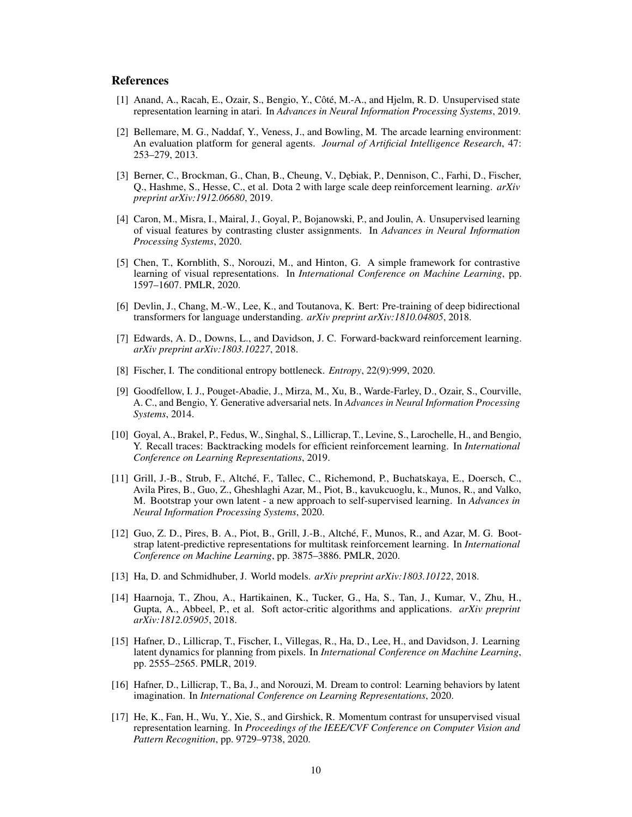# **References**

- <span id="page-9-2"></span>[1] Anand, A., Racah, E., Ozair, S., Bengio, Y., Côté, M.-A., and Hjelm, R. D. Unsupervised state representation learning in atari. In *Advances in Neural Information Processing Systems*, 2019.
- <span id="page-9-3"></span>[2] Bellemare, M. G., Naddaf, Y., Veness, J., and Bowling, M. The arcade learning environment: An evaluation platform for general agents. *Journal of Artificial Intelligence Research*, 47: 253–279, 2013.
- <span id="page-9-0"></span>[3] Berner, C., Brockman, G., Chan, B., Cheung, V., Dębiak, P., Dennison, C., Farhi, D., Fischer, Q., Hashme, S., Hesse, C., et al. Dota 2 with large scale deep reinforcement learning. *arXiv preprint arXiv:1912.06680*, 2019.
- <span id="page-9-9"></span>[4] Caron, M., Misra, I., Mairal, J., Goyal, P., Bojanowski, P., and Joulin, A. Unsupervised learning of visual features by contrasting cluster assignments. In *Advances in Neural Information Processing Systems*, 2020.
- <span id="page-9-8"></span>[5] Chen, T., Kornblith, S., Norouzi, M., and Hinton, G. A simple framework for contrastive learning of visual representations. In *International Conference on Machine Learning*, pp. 1597–1607. PMLR, 2020.
- <span id="page-9-6"></span>[6] Devlin, J., Chang, M.-W., Lee, K., and Toutanova, K. Bert: Pre-training of deep bidirectional transformers for language understanding. *arXiv preprint arXiv:1810.04805*, 2018.
- <span id="page-9-16"></span>[7] Edwards, A. D., Downs, L., and Davidson, J. C. Forward-backward reinforcement learning. *arXiv preprint arXiv:1803.10227*, 2018.
- <span id="page-9-12"></span>[8] Fischer, I. The conditional entropy bottleneck. *Entropy*, 22(9):999, 2020.
- <span id="page-9-13"></span>[9] Goodfellow, I. J., Pouget-Abadie, J., Mirza, M., Xu, B., Warde-Farley, D., Ozair, S., Courville, A. C., and Bengio, Y. Generative adversarial nets. In *Advances in Neural Information Processing Systems*, 2014.
- <span id="page-9-15"></span>[10] Goyal, A., Brakel, P., Fedus, W., Singhal, S., Lillicrap, T., Levine, S., Larochelle, H., and Bengio, Y. Recall traces: Backtracking models for efficient reinforcement learning. In *International Conference on Learning Representations*, 2019.
- <span id="page-9-10"></span>[11] Grill, J.-B., Strub, F., Altché, F., Tallec, C., Richemond, P., Buchatskaya, E., Doersch, C., Avila Pires, B., Guo, Z., Gheshlaghi Azar, M., Piot, B., kavukcuoglu, k., Munos, R., and Valko, M. Bootstrap your own latent - a new approach to self-supervised learning. In *Advances in Neural Information Processing Systems*, 2020.
- <span id="page-9-1"></span>[12] Guo, Z. D., Pires, B. A., Piot, B., Grill, J.-B., Altché, F., Munos, R., and Azar, M. G. Bootstrap latent-predictive representations for multitask reinforcement learning. In *International Conference on Machine Learning*, pp. 3875–3886. PMLR, 2020.
- <span id="page-9-11"></span>[13] Ha, D. and Schmidhuber, J. World models. *arXiv preprint arXiv:1803.10122*, 2018.
- <span id="page-9-14"></span>[14] Haarnoja, T., Zhou, A., Hartikainen, K., Tucker, G., Ha, S., Tan, J., Kumar, V., Zhu, H., Gupta, A., Abbeel, P., et al. Soft actor-critic algorithms and applications. *arXiv preprint arXiv:1812.05905*, 2018.
- <span id="page-9-4"></span>[15] Hafner, D., Lillicrap, T., Fischer, I., Villegas, R., Ha, D., Lee, H., and Davidson, J. Learning latent dynamics for planning from pixels. In *International Conference on Machine Learning*, pp. 2555–2565. PMLR, 2019.
- <span id="page-9-5"></span>[16] Hafner, D., Lillicrap, T., Ba, J., and Norouzi, M. Dream to control: Learning behaviors by latent imagination. In *International Conference on Learning Representations*, 2020.
- <span id="page-9-7"></span>[17] He, K., Fan, H., Wu, Y., Xie, S., and Girshick, R. Momentum contrast for unsupervised visual representation learning. In *Proceedings of the IEEE/CVF Conference on Computer Vision and Pattern Recognition*, pp. 9729–9738, 2020.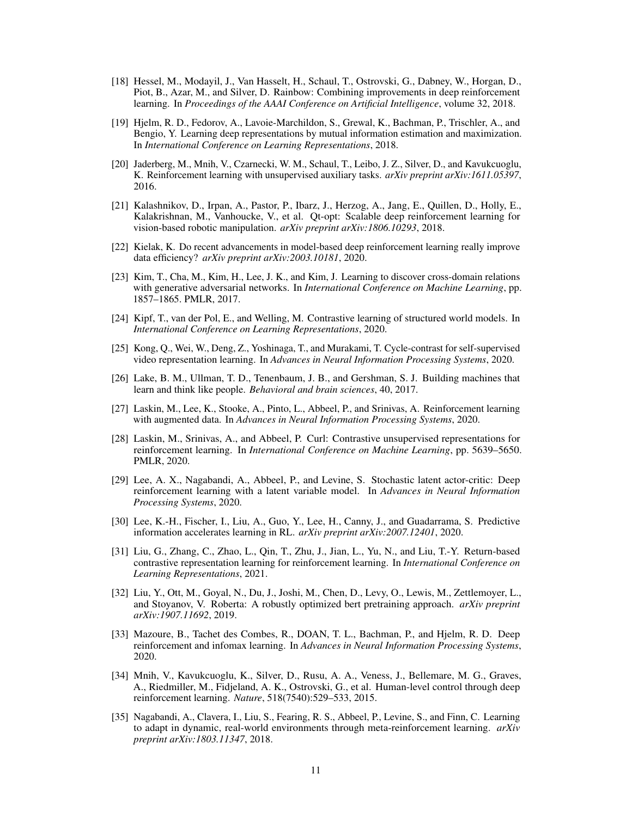- <span id="page-10-16"></span>[18] Hessel, M., Modayil, J., Van Hasselt, H., Schaul, T., Ostrovski, G., Dabney, W., Horgan, D., Piot, B., Azar, M., and Silver, D. Rainbow: Combining improvements in deep reinforcement learning. In *Proceedings of the AAAI Conference on Artificial Intelligence*, volume 32, 2018.
- <span id="page-10-13"></span>[19] Hjelm, R. D., Fedorov, A., Lavoie-Marchildon, S., Grewal, K., Bachman, P., Trischler, A., and Bengio, Y. Learning deep representations by mutual information estimation and maximization. In *International Conference on Learning Representations*, 2018.
- <span id="page-10-11"></span>[20] Jaderberg, M., Mnih, V., Czarnecki, W. M., Schaul, T., Leibo, J. Z., Silver, D., and Kavukcuoglu, K. Reinforcement learning with unsupervised auxiliary tasks. *arXiv preprint arXiv:1611.05397*, 2016.
- <span id="page-10-1"></span>[21] Kalashnikov, D., Irpan, A., Pastor, P., Ibarz, J., Herzog, A., Jang, E., Quillen, D., Holly, E., Kalakrishnan, M., Vanhoucke, V., et al. Qt-opt: Scalable deep reinforcement learning for vision-based robotic manipulation. *arXiv preprint arXiv:1806.10293*, 2018.
- <span id="page-10-17"></span>[22] Kielak, K. Do recent advancements in model-based deep reinforcement learning really improve data efficiency? *arXiv preprint arXiv:2003.10181*, 2020.
- <span id="page-10-14"></span>[23] Kim, T., Cha, M., Kim, H., Lee, J. K., and Kim, J. Learning to discover cross-domain relations with generative adversarial networks. In *International Conference on Machine Learning*, pp. 1857–1865. PMLR, 2017.
- <span id="page-10-9"></span>[24] Kipf, T., van der Pol, E., and Welling, M. Contrastive learning of structured world models. In *International Conference on Learning Representations*, 2020.
- <span id="page-10-15"></span>[25] Kong, Q., Wei, W., Deng, Z., Yoshinaga, T., and Murakami, T. Cycle-contrast for self-supervised video representation learning. In *Advances in Neural Information Processing Systems*, 2020.
- <span id="page-10-3"></span>[26] Lake, B. M., Ullman, T. D., Tenenbaum, J. B., and Gershman, S. J. Building machines that learn and think like people. *Behavioral and brain sciences*, 40, 2017.
- <span id="page-10-10"></span>[27] Laskin, M., Lee, K., Stooke, A., Pinto, L., Abbeel, P., and Srinivas, A. Reinforcement learning with augmented data. In *Advances in Neural Information Processing Systems*, 2020.
- <span id="page-10-4"></span>[28] Laskin, M., Srinivas, A., and Abbeel, P. Curl: Contrastive unsupervised representations for reinforcement learning. In *International Conference on Machine Learning*, pp. 5639–5650. PMLR, 2020.
- <span id="page-10-5"></span>[29] Lee, A. X., Nagabandi, A., Abbeel, P., and Levine, S. Stochastic latent actor-critic: Deep reinforcement learning with a latent variable model. In *Advances in Neural Information Processing Systems*, 2020.
- <span id="page-10-7"></span>[30] Lee, K.-H., Fischer, I., Liu, A., Guo, Y., Lee, H., Canny, J., and Guadarrama, S. Predictive information accelerates learning in RL. *arXiv preprint arXiv:2007.12401*, 2020.
- <span id="page-10-8"></span>[31] Liu, G., Zhang, C., Zhao, L., Qin, T., Zhu, J., Jian, L., Yu, N., and Liu, T.-Y. Return-based contrastive representation learning for reinforcement learning. In *International Conference on Learning Representations*, 2021.
- <span id="page-10-12"></span>[32] Liu, Y., Ott, M., Goyal, N., Du, J., Joshi, M., Chen, D., Levy, O., Lewis, M., Zettlemoyer, L., and Stoyanov, V. Roberta: A robustly optimized bert pretraining approach. *arXiv preprint arXiv:1907.11692*, 2019.
- <span id="page-10-6"></span>[33] Mazoure, B., Tachet des Combes, R., DOAN, T. L., Bachman, P., and Hjelm, R. D. Deep reinforcement and infomax learning. In *Advances in Neural Information Processing Systems*, 2020.
- <span id="page-10-0"></span>[34] Mnih, V., Kavukcuoglu, K., Silver, D., Rusu, A. A., Veness, J., Bellemare, M. G., Graves, A., Riedmiller, M., Fidjeland, A. K., Ostrovski, G., et al. Human-level control through deep reinforcement learning. *Nature*, 518(7540):529–533, 2015.
- <span id="page-10-2"></span>[35] Nagabandi, A., Clavera, I., Liu, S., Fearing, R. S., Abbeel, P., Levine, S., and Finn, C. Learning to adapt in dynamic, real-world environments through meta-reinforcement learning. *arXiv preprint arXiv:1803.11347*, 2018.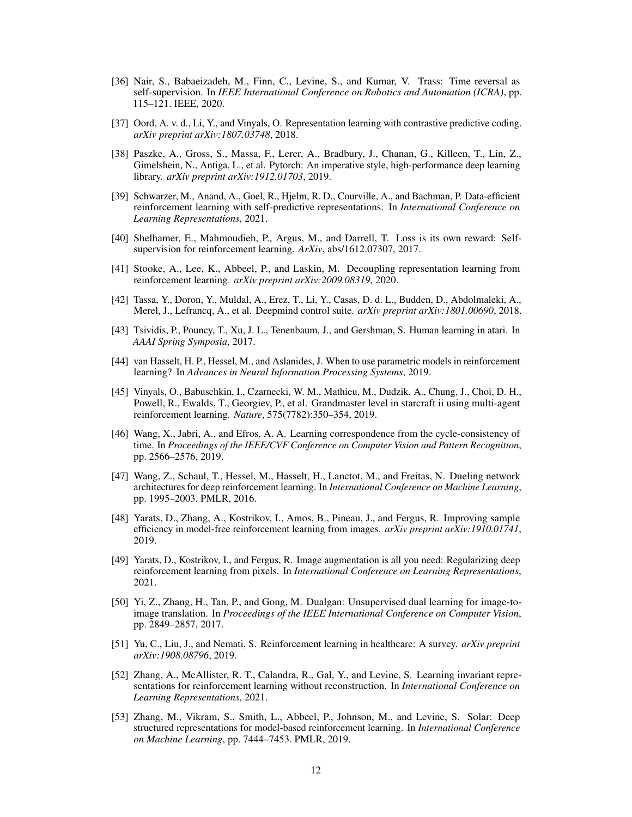- <span id="page-11-13"></span>[36] Nair, S., Babaeizadeh, M., Finn, C., Levine, S., and Kumar, V. Trass: Time reversal as self-supervision. In *IEEE International Conference on Robotics and Automation (ICRA)*, pp. 115–121. IEEE, 2020.
- <span id="page-11-7"></span>[37] Oord, A. v. d., Li, Y., and Vinyals, O. Representation learning with contrastive predictive coding. *arXiv preprint arXiv:1807.03748*, 2018.
- <span id="page-11-16"></span>[38] Paszke, A., Gross, S., Massa, F., Lerer, A., Bradbury, J., Chanan, G., Killeen, T., Lin, Z., Gimelshein, N., Antiga, L., et al. Pytorch: An imperative style, high-performance deep learning library. *arXiv preprint arXiv:1912.01703*, 2019.
- <span id="page-11-6"></span>[39] Schwarzer, M., Anand, A., Goel, R., Hjelm, R. D., Courville, A., and Bachman, P. Data-efficient reinforcement learning with self-predictive representations. In *International Conference on Learning Representations*, 2021.
- <span id="page-11-5"></span>[40] Shelhamer, E., Mahmoudieh, P., Argus, M., and Darrell, T. Loss is its own reward: Selfsupervision for reinforcement learning. *ArXiv*, abs/1612.07307, 2017.
- <span id="page-11-8"></span>[41] Stooke, A., Lee, K., Abbeel, P., and Laskin, M. Decoupling representation learning from reinforcement learning. *arXiv preprint arXiv:2009.08319*, 2020.
- <span id="page-11-10"></span>[42] Tassa, Y., Doron, Y., Muldal, A., Erez, T., Li, Y., Casas, D. d. L., Budden, D., Abdolmaleki, A., Merel, J., Lefrancq, A., et al. Deepmind control suite. *arXiv preprint arXiv:1801.00690*, 2018.
- <span id="page-11-3"></span>[43] Tsividis, P., Pouncy, T., Xu, J. L., Tenenbaum, J., and Gershman, S. Human learning in atari. In *AAAI Spring Symposia*, 2017.
- <span id="page-11-14"></span>[44] van Hasselt, H. P., Hessel, M., and Aslanides, J. When to use parametric models in reinforcement learning? In *Advances in Neural Information Processing Systems*, 2019.
- <span id="page-11-0"></span>[45] Vinyals, O., Babuschkin, I., Czarnecki, W. M., Mathieu, M., Dudzik, A., Chung, J., Choi, D. H., Powell, R., Ewalds, T., Georgiev, P., et al. Grandmaster level in starcraft ii using multi-agent reinforcement learning. *Nature*, 575(7782):350–354, 2019.
- <span id="page-11-12"></span>[46] Wang, X., Jabri, A., and Efros, A. A. Learning correspondence from the cycle-consistency of time. In *Proceedings of the IEEE/CVF Conference on Computer Vision and Pattern Recognition*, pp. 2566–2576, 2019.
- <span id="page-11-17"></span>[47] Wang, Z., Schaul, T., Hessel, M., Hasselt, H., Lanctot, M., and Freitas, N. Dueling network architectures for deep reinforcement learning. In *International Conference on Machine Learning*, pp. 1995–2003. PMLR, 2016.
- <span id="page-11-2"></span>[48] Yarats, D., Zhang, A., Kostrikov, I., Amos, B., Pineau, J., and Fergus, R. Improving sample efficiency in model-free reinforcement learning from images. *arXiv preprint arXiv:1910.01741*, 2019.
- <span id="page-11-9"></span>[49] Yarats, D., Kostrikov, I., and Fergus, R. Image augmentation is all you need: Regularizing deep reinforcement learning from pixels. In *International Conference on Learning Representations*, 2021.
- <span id="page-11-11"></span>[50] Yi, Z., Zhang, H., Tan, P., and Gong, M. Dualgan: Unsupervised dual learning for image-toimage translation. In *Proceedings of the IEEE International Conference on Computer Vision*, pp. 2849–2857, 2017.
- <span id="page-11-4"></span>[51] Yu, C., Liu, J., and Nemati, S. Reinforcement learning in healthcare: A survey. *arXiv preprint arXiv:1908.08796*, 2019.
- <span id="page-11-15"></span>[52] Zhang, A., McAllister, R. T., Calandra, R., Gal, Y., and Levine, S. Learning invariant representations for reinforcement learning without reconstruction. In *International Conference on Learning Representations*, 2021.
- <span id="page-11-1"></span>[53] Zhang, M., Vikram, S., Smith, L., Abbeel, P., Johnson, M., and Levine, S. Solar: Deep structured representations for model-based reinforcement learning. In *International Conference on Machine Learning*, pp. 7444–7453. PMLR, 2019.